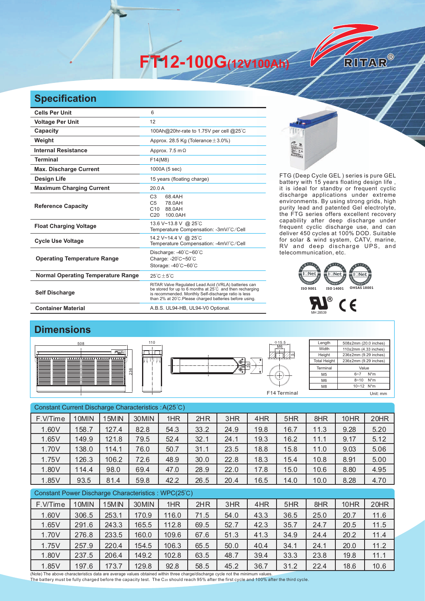**FT12-100G(12V100Ah)** 

## **Specification**

| <b>Cells Per Unit</b>                     | 6                                                                                                                                                                                                                                  |  |  |  |  |  |
|-------------------------------------------|------------------------------------------------------------------------------------------------------------------------------------------------------------------------------------------------------------------------------------|--|--|--|--|--|
| <b>Voltage Per Unit</b>                   | 12                                                                                                                                                                                                                                 |  |  |  |  |  |
| Capacity                                  | 100Ah@20hr-rate to 1.75V per cell @25°C                                                                                                                                                                                            |  |  |  |  |  |
| Weight                                    | Approx. 28.5 Kg (Tolerance $\pm$ 3.0%)                                                                                                                                                                                             |  |  |  |  |  |
| <b>Internal Resistance</b>                | Approx. 7.5 m $\Omega$                                                                                                                                                                                                             |  |  |  |  |  |
| <b>Terminal</b>                           | F14(M8)                                                                                                                                                                                                                            |  |  |  |  |  |
| <b>Max. Discharge Current</b>             | 1000A (5 sec)                                                                                                                                                                                                                      |  |  |  |  |  |
| <b>Design Life</b>                        | 15 years (floating charge)                                                                                                                                                                                                         |  |  |  |  |  |
| <b>Maximum Charging Current</b>           | 20.0A                                                                                                                                                                                                                              |  |  |  |  |  |
| <b>Reference Capacity</b>                 | C <sub>3</sub><br>68 4AH<br>C <sub>5</sub><br>78.0AH<br>C <sub>10</sub><br>88.0AH<br>C <sub>20</sub><br>100.0AH                                                                                                                    |  |  |  |  |  |
| <b>Float Charging Voltage</b>             | 13.6 V~13.8 V @ 25°C<br>Temperature Compensation: -3mV/°C/Cell                                                                                                                                                                     |  |  |  |  |  |
| <b>Cycle Use Voltage</b>                  | 14.2 V~14.4 V @ 25°C<br>Temperature Compensation: -4mV/°C/Cell                                                                                                                                                                     |  |  |  |  |  |
| <b>Operating Temperature Range</b>        | Discharge: -40°C~60°C<br>Charge: -20°C~50°C<br>Storage: -40°C~60°C                                                                                                                                                                 |  |  |  |  |  |
| <b>Normal Operating Temperature Range</b> | $25^{\circ}$ C + 5 $^{\circ}$ C                                                                                                                                                                                                    |  |  |  |  |  |
| <b>Self Discharge</b>                     | RITAR Valve Regulated Lead Acid (VRLA) batteries can<br>be stored for up to 6 months at 25°C and then recharging<br>is recommended. Monthly Self-discharge ratio is less<br>than 2% at 20°C.Please charged batteries before using. |  |  |  |  |  |
| <b>Container Material</b>                 | A.B.S. UL94-HB, UL94-V0 Optional.                                                                                                                                                                                                  |  |  |  |  |  |



FTG (Deep Cycle GEL) series is pure GEL battery with 15 years floating design life, it is ideal for standby or frequent cyclic discharge applications under extreme environments. By using strong grids, high purity lead and patented Gel electrolyte, the FTG series offers excellent recovery capability after deep discharge under frequent cyclic discharge use, and can deliver 450 cycles at 100% DOD. Suitable for solar & wind system, CATV, marine, RV and deep discharge UPS, and telecommunication, etc.

RITAR®





## **Dimensions**







Length Width **Height** Total Heigh 508±2mm (20.0 inches) 110±2mm (4.33 inches) 236±2mm (9.29 inches) 236±2mm (9.29 inches) Terminal M5 M6 M8 Value 6~7 N\*m 8~10 N\*m 10~12 N\*m F14 Terminal Unit: mm

| Constant Current Discharge Characteristics: A(25°C) |       |                   |       |       |      |      |      |      |      |      |      |
|-----------------------------------------------------|-------|-------------------|-------|-------|------|------|------|------|------|------|------|
| F.V/Time                                            | 10MIN | 15MIN             | 30MIN | 1HR   | 2HR  | 3HR  | 4HR  | 5HR  | 8HR  | 10HR | 20HR |
| 1.60V                                               | 158.7 | 127.4             | 82.8  | 54.3  | 33.2 | 24.9 | 19.8 | 16.7 | 11.3 | 9.28 | 5.20 |
| 1.65V                                               | 149.9 | 121.8             | 79.5  | 52.4  | 32.1 | 24.1 | 19.3 | 16.2 | 11.1 | 9.17 | 5.12 |
| 1.70V                                               | 138.0 | 114.1             | 76.0  | 50.7  | 31.1 | 23.5 | 18.8 | 15.8 | 11.0 | 9.03 | 5.06 |
| 1.75V                                               | 126.3 | 106.2             | 72.6  | 48.9  | 30.0 | 22.8 | 18.3 | 15.4 | 10.8 | 8.91 | 5.00 |
| 1.80V                                               | 114.4 | 98.0              | 69.4  | 47.0  | 28.9 | 22.0 | 17.8 | 15.0 | 10.6 | 8.80 | 4.95 |
| 1.85V                                               | 93.5  | 81.4              | 59.8  | 42.2  | 26.5 | 20.4 | 16.5 | 14.0 | 10.0 | 8.28 | 4.70 |
| Constant Power Discharge Characteristics: WPC(25°C) |       |                   |       |       |      |      |      |      |      |      |      |
| F.V/Time                                            | 10MIN | 15M <sub>IN</sub> | 30MIN | 1HR   | 2HR  | 3HR  | 4HR  | 5HR  | 8HR  | 10HR | 20HR |
| 1.60V                                               | 306.5 | 253.1             | 170.9 | 116.0 | 71.5 | 54.0 | 43.3 | 36.5 | 25.0 | 20.7 | 11.6 |
| 1.65V                                               | 291.6 | 243.3             | 165.5 | 112.8 | 69.5 | 52.7 | 42.3 | 35.7 | 24.7 | 20.5 | 11.5 |
| 1.70V                                               | 276.8 | 233.5             | 160.0 | 109.6 | 67.6 | 51.3 | 41.3 | 34.9 | 24.4 | 20.2 | 11.4 |
| 1.75V                                               | 257.9 | 220.4             | 154.5 | 106.3 | 65.5 | 50.0 | 40.4 | 34.1 | 24.1 | 20.0 | 11.2 |
| 1.80V                                               | 237.5 | 206.4             | 149.2 | 102.8 | 63.5 | 48.7 | 39.4 | 33.3 | 23.8 | 19.8 | 11.1 |
| 1.85V                                               | 197.6 | 173.7             | 129.8 | 92.8  | 58.5 | 45.2 | 36.7 | 31.2 | 22.4 | 18.6 | 10.6 |

(Note) The above characteristics data are average values obtained within three charge/discharge cycle not the minimum values. The battery must be fully charged before the capacity test. The C<sub>20</sub> should reach 95% after the first cycle and 100% after the third cycle.